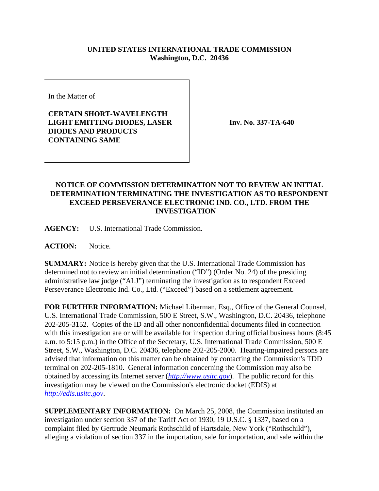## **UNITED STATES INTERNATIONAL TRADE COMMISSION Washington, D.C. 20436**

In the Matter of

**CERTAIN SHORT-WAVELENGTH LIGHT EMITTING DIODES, LASER DIODES AND PRODUCTS CONTAINING SAME**

**Inv. No. 337-TA-640**

## **NOTICE OF COMMISSION DETERMINATION NOT TO REVIEW AN INITIAL DETERMINATION TERMINATING THE INVESTIGATION AS TO RESPONDENT EXCEED PERSEVERANCE ELECTRONIC IND. CO., LTD. FROM THE INVESTIGATION**

**AGENCY:** U.S. International Trade Commission.

**ACTION:** Notice.

**SUMMARY:** Notice is hereby given that the U.S. International Trade Commission has determined not to review an initial determination ("ID") (Order No. 24) of the presiding administrative law judge ("ALJ") terminating the investigation as to respondent Exceed Perseverance Electronic Ind. Co., Ltd. ("Exceed") based on a settlement agreement.

**FOR FURTHER INFORMATION:** Michael Liberman, Esq., Office of the General Counsel, U.S. International Trade Commission, 500 E Street, S.W., Washington, D.C. 20436, telephone 202-205-3152. Copies of the ID and all other nonconfidential documents filed in connection with this investigation are or will be available for inspection during official business hours (8:45 a.m. to 5:15 p.m.) in the Office of the Secretary, U.S. International Trade Commission, 500 E Street, S.W., Washington, D.C. 20436, telephone 202-205-2000. Hearing-impaired persons are advised that information on this matter can be obtained by contacting the Commission's TDD terminal on 202-205-1810. General information concerning the Commission may also be obtained by accessing its Internet server (*http://www.usitc.gov*). The public record for this investigation may be viewed on the Commission's electronic docket (EDIS) at *http://edis.usitc.gov*.

**SUPPLEMENTARY INFORMATION:** On March 25, 2008, the Commission instituted an investigation under section 337 of the Tariff Act of 1930, 19 U.S.C. § 1337, based on a complaint filed by Gertrude Neumark Rothschild of Hartsdale, New York ("Rothschild"), alleging a violation of section 337 in the importation, sale for importation, and sale within the